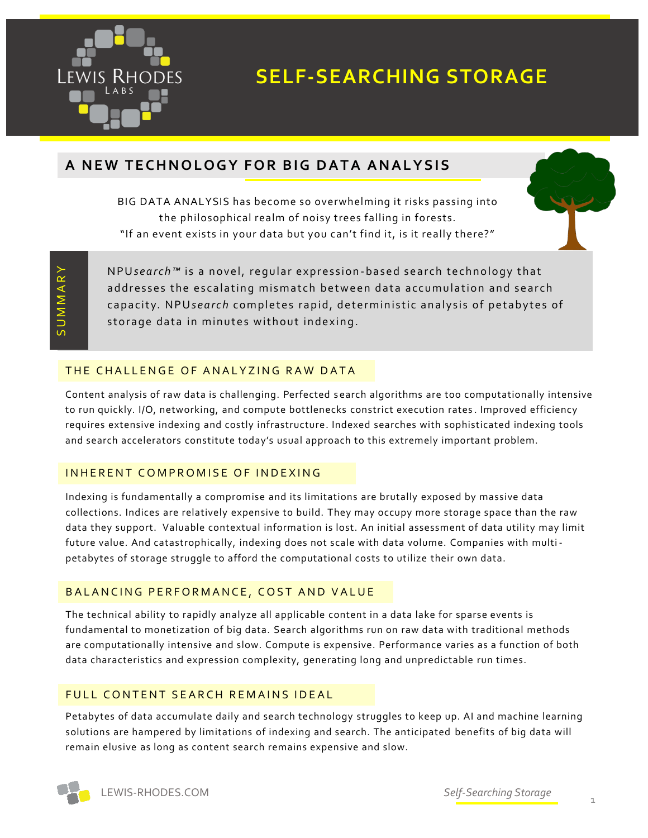

# **SELF-SEARCHING STORAGE**

### **A NEW TECHNOLOGY FOR BIG DATA ANALYSIS**

BIG DATA ANALYSIS has become so overwhelming it risks passing into the philosophical realm of noisy trees falling in forests. "If an event exists in your data but you can't find it, is it really there?"

NPUsearch<sup>™</sup> is a novel, regular expression-based search technology that addresses the escalating mismatch between data accumulation and search capacity. NPUsearch completes rapid, deterministic analysis of petabytes of storage data in minutes without indexing.

#### THE CHALLENGE OF ANALYZING RAW DATA

Content analysis of raw data is challenging. Perfected s earch algorithms are too computationally intensive to run quickly. I/O, networking, and compute bottlenecks constrict execution rates . Improved efficiency requires extensive indexing and costly infrastructure. Indexed searches with sophisticated indexing tools and search accelerators constitute today's usual approach to this extremely important problem.

#### IN HERENT COMPROMISE OF INDEXING

Indexing is fundamentally a compromise and its limitations are brutally exposed by massive data collections. Indices are relatively expensive to build. They may occupy more storage space than the raw data they support. Valuable contextual information is lost. An initial assessment of data utility may limit future value. And catastrophically, indexing does not scale with data volume. Companies with multi petabytes of storage struggle to afford the computational costs to utilize their own data.

#### BALANCING PERFORMANCE, COST AND VALUE

The technical ability to rapidly analyze all applicable content in a data lake for sparse events is fundamental to monetization of big data. Search algorithms run on raw data with traditional methods are computationally intensive and slow. Compute is expensive. Performance varies as a function of both data characteristics and expression complexity, generating long and unpredictable run times.

#### FULL CONTENT SEARCH REMAINS IDEAL

Petabytes of data accumulate daily and search technology struggles to keep up. AI and machine learning solutions are hampered by limitations of indexing and search. The anticipated benefits of big data will remain elusive as long as content search remains expensive and slow.

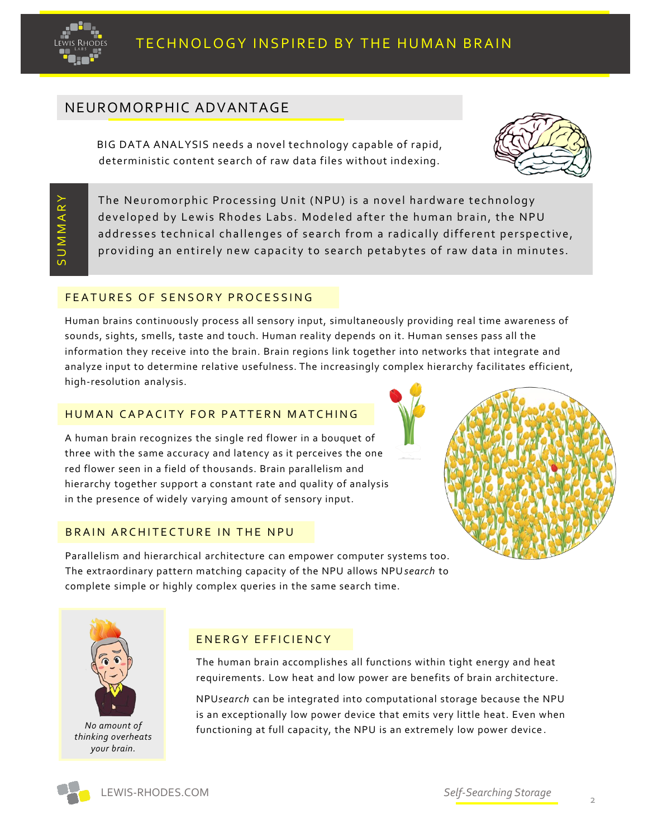

## NEUROMORPHIC ADVANTAGE

BIG DATA ANALYSIS needs a novel technology capable of rapid, deterministic content search of raw data files without indexing.



S U M M A R Y

The Neuromorphic Processing Unit (NPU) is a novel hardware technology developed by Lewis Rhodes Labs. Modeled after the human brain, the NPU addresses technical challenges of search from a radically different perspective, providing an entirely new capacity to search petabytes of raw data in minutes.

#### FFATURES OF SENSORY PROCESSING

Human brains continuously process all sensory input, simultaneously providing real time awareness of sounds, sights, smells, taste and touch. Human reality depends on it. Human senses pass all the information they receive into the brain. Brain regions link together into networks that integrate and analyze input to determine relative usefulness. The increasingly complex hierarchy facilitates efficient, high-resolution analysis.

#### HUMAN CAPACITY FOR PATTERN MATCHING

A human brain recognizes the single red flower in a bouquet of three with the same accuracy and latency as it perceives the one red flower seen in a field of thousands. Brain parallelism and hierarchy together support a constant rate and quality of analysis in the presence of widely varying amount of sensory input.

#### BRAIN ARCHITECTURE IN THE NPU





*No amount of thinking overheats your brain.* 

#### ENERGY EFFICIENCY

The human brain accomplishes all functions within tight energy and heat requirements. Low heat and low power are benefits of brain architecture.

NPU*search* can be integrated into computational storage because the NPU is an exceptionally low power device that emits very little heat. Even when functioning at full capacity, the NPU is an extremely low power device .

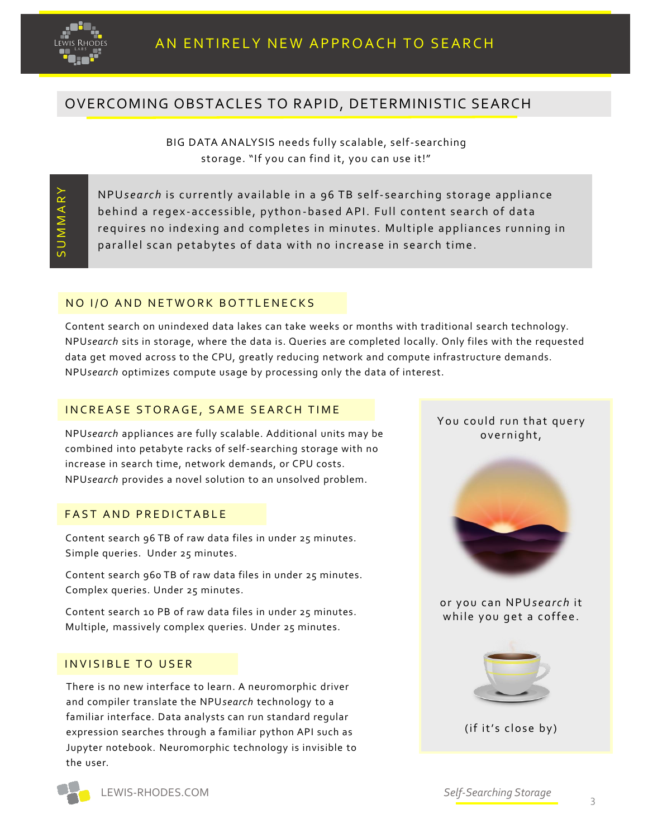

## OVERCOMING OBSTACLES TO RAPID, DETERMINISTIC SEARCH

BIG DATA ANALYSIS needs fully scalable, self-searching storage. "If you can find it, you can use it!"

S U M M A R Y

NPUsearch is currently available in a 96 TB self-searching storage appliance behind a regex-accessible, python-based API. Full content search of data requires no indexing and completes in minutes. Multiple appliances running in parallel scan petabytes of data with no increase in search time.

#### NO I/O AND NETWORK BOTTLENECKS

Content search on unindexed data lakes can take weeks or months with traditional search technology. NPU*search* sits in storage, where the data is. Queries are completed locally. Only files with the requested data get moved across to the CPU, greatly reducing network and compute infrastructure demands. NPU*search* optimizes compute usage by processing only the data of interest.

#### IN CREASE STORAGE, SAME SEARCH TIME

NPU*search* appliances are fully scalable. Additional units may be combined into petabyte racks of self-searching storage with no increase in search time, network demands, or CPU costs. NPU*search* provides a novel solution to an unsolved problem.

#### FAST AND PREDICTABLE

Content search 96 TB of raw data files in under 25 minutes. Simple queries. Under 25 minutes.

Content search 960 TB of raw data files in under 25 minutes. Complex queries. Under 25 minutes.

Content search 10 PB of raw data files in under 25 minutes. Multiple, massively complex queries. Under 25 minutes.

#### INVISIBLE TO USER

There is no new interface to learn. A neuromorphic driver and compiler translate the NPU*search* technology to a familiar interface. Data analysts can run standard regular expression searches through a familiar python API such as Jupyter notebook. Neuromorphic technology is invisible to the user.

You could run that query overnight,



or you can NPUsearch it while you get a coffee.



(if it's close by)